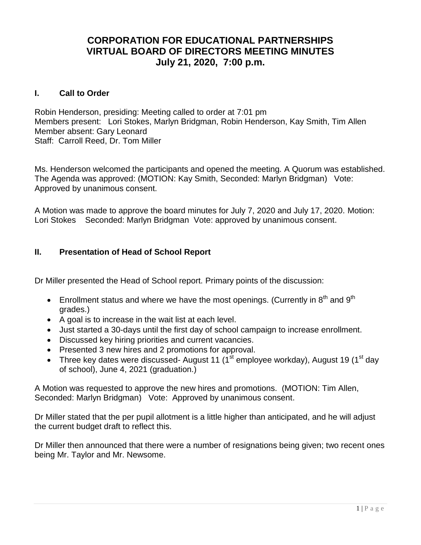# **CORPORATION FOR EDUCATIONAL PARTNERSHIPS VIRTUAL BOARD OF DIRECTORS MEETING MINUTES July 21, 2020, 7:00 p.m.**

## **I. Call to Order**

Robin Henderson, presiding: Meeting called to order at 7:01 pm Members present: Lori Stokes, Marlyn Bridgman, Robin Henderson, Kay Smith, Tim Allen Member absent: Gary Leonard Staff: Carroll Reed, Dr. Tom Miller

Ms. Henderson welcomed the participants and opened the meeting. A Quorum was established. The Agenda was approved: (MOTION: Kay Smith, Seconded: Marlyn Bridgman) Vote: Approved by unanimous consent.

A Motion was made to approve the board minutes for July 7, 2020 and July 17, 2020. Motion: Lori Stokes Seconded: Marlyn Bridgman Vote: approved by unanimous consent.

## **II. Presentation of Head of School Report**

Dr Miller presented the Head of School report. Primary points of the discussion:

- **Enrollment status and where we have the most openings. (Currently in 8<sup>th</sup> and 9<sup>th</sup>** grades.)
- A goal is to increase in the wait list at each level.
- Just started a 30-days until the first day of school campaign to increase enrollment.
- Discussed key hiring priorities and current vacancies.
- Presented 3 new hires and 2 promotions for approval.
- Three key dates were discussed- August 11 ( $1<sup>st</sup>$  employee workday), August 19 ( $1<sup>st</sup>$  dav of school), June 4, 2021 (graduation.)

A Motion was requested to approve the new hires and promotions. (MOTION: Tim Allen, Seconded: Marlyn Bridgman) Vote: Approved by unanimous consent.

Dr Miller stated that the per pupil allotment is a little higher than anticipated, and he will adjust the current budget draft to reflect this.

Dr Miller then announced that there were a number of resignations being given; two recent ones being Mr. Taylor and Mr. Newsome.